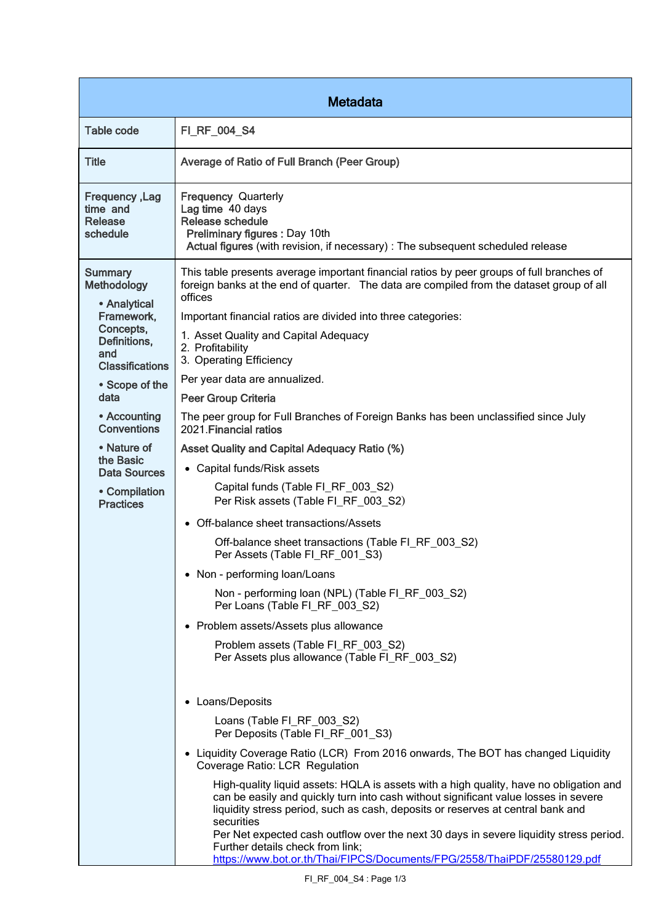| <b>Metadata</b>                                                                                                                                                                                                                                                                   |                                                                                                                                                                                                                                                                                                                                                                                                                                                                                                                                                                                                                                                                                                                                                                                                                                                                                                                                                                          |  |
|-----------------------------------------------------------------------------------------------------------------------------------------------------------------------------------------------------------------------------------------------------------------------------------|--------------------------------------------------------------------------------------------------------------------------------------------------------------------------------------------------------------------------------------------------------------------------------------------------------------------------------------------------------------------------------------------------------------------------------------------------------------------------------------------------------------------------------------------------------------------------------------------------------------------------------------------------------------------------------------------------------------------------------------------------------------------------------------------------------------------------------------------------------------------------------------------------------------------------------------------------------------------------|--|
| Table code                                                                                                                                                                                                                                                                        | FI_RF_004_S4                                                                                                                                                                                                                                                                                                                                                                                                                                                                                                                                                                                                                                                                                                                                                                                                                                                                                                                                                             |  |
| <b>Title</b>                                                                                                                                                                                                                                                                      | Average of Ratio of Full Branch (Peer Group)                                                                                                                                                                                                                                                                                                                                                                                                                                                                                                                                                                                                                                                                                                                                                                                                                                                                                                                             |  |
| Frequency, Lag<br>time and<br><b>Release</b><br>schedule                                                                                                                                                                                                                          | <b>Frequency Quarterly</b><br>Lag time 40 days<br>Release schedule<br>Preliminary figures : Day 10th<br>Actual figures (with revision, if necessary) : The subsequent scheduled release                                                                                                                                                                                                                                                                                                                                                                                                                                                                                                                                                                                                                                                                                                                                                                                  |  |
| <b>Summary</b><br>Methodology<br>• Analytical<br>Framework,<br>Concepts,<br>Definitions,<br>and<br><b>Classifications</b><br>• Scope of the<br>data<br>• Accounting<br><b>Conventions</b><br>• Nature of<br>the Basic<br><b>Data Sources</b><br>• Compilation<br><b>Practices</b> | This table presents average important financial ratios by peer groups of full branches of<br>foreign banks at the end of quarter. The data are compiled from the dataset group of all<br>offices<br>Important financial ratios are divided into three categories:<br>1. Asset Quality and Capital Adequacy<br>2. Profitability<br>3. Operating Efficiency<br>Per year data are annualized.<br><b>Peer Group Criteria</b><br>The peer group for Full Branches of Foreign Banks has been unclassified since July<br>2021. Financial ratios<br><b>Asset Quality and Capital Adequacy Ratio (%)</b><br>• Capital funds/Risk assets<br>Capital funds (Table FI_RF_003_S2)<br>Per Risk assets (Table FI_RF_003_S2)<br>• Off-balance sheet transactions/Assets<br>Off-balance sheet transactions (Table FI_RF_003_S2)<br>Per Assets (Table FI_RF_001_S3)<br>• Non - performing loan/Loans<br>Non - performing loan (NPL) (Table FI_RF_003_S2)<br>Per Loans (Table FI_RF_003_S2) |  |
|                                                                                                                                                                                                                                                                                   | • Problem assets/Assets plus allowance<br>Problem assets (Table FI_RF_003_S2)<br>Per Assets plus allowance (Table FI_RF_003_S2)<br>• Loans/Deposits<br>Loans (Table FI_RF_003_S2)<br>Per Deposits (Table FI RF 001 S3)<br>• Liquidity Coverage Ratio (LCR) From 2016 onwards, The BOT has changed Liquidity<br>Coverage Ratio: LCR Regulation<br>High-quality liquid assets: HQLA is assets with a high quality, have no obligation and<br>can be easily and quickly turn into cash without significant value losses in severe<br>liquidity stress period, such as cash, deposits or reserves at central bank and<br>securities<br>Per Net expected cash outflow over the next 30 days in severe liquidity stress period.<br>Further details check from link;<br>https://www.bot.or.th/Thai/FIPCS/Documents/FPG/2558/ThaiPDF/25580129.pdf                                                                                                                                |  |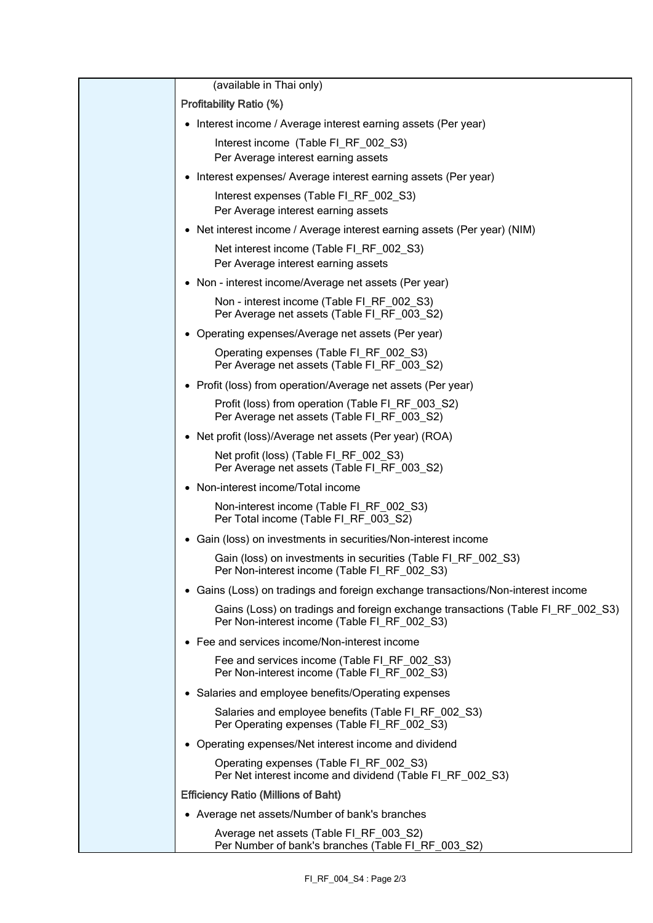| (available in Thai only)                                                                                                        |
|---------------------------------------------------------------------------------------------------------------------------------|
| <b>Profitability Ratio (%)</b>                                                                                                  |
| • Interest income / Average interest earning assets (Per year)                                                                  |
| Interest income (Table FI_RF_002_S3)<br>Per Average interest earning assets                                                     |
| • Interest expenses/ Average interest earning assets (Per year)                                                                 |
| Interest expenses (Table FI_RF_002_S3)<br>Per Average interest earning assets                                                   |
| • Net interest income / Average interest earning assets (Per year) (NIM)                                                        |
| Net interest income (Table FI_RF_002_S3)<br>Per Average interest earning assets                                                 |
| • Non - interest income/Average net assets (Per year)                                                                           |
| Non - interest income (Table FI_RF_002_S3)<br>Per Average net assets (Table FI_RF_003_S2)                                       |
| • Operating expenses/Average net assets (Per year)                                                                              |
| Operating expenses (Table FI_RF_002_S3)<br>Per Average net assets (Table FI_RF_003_S2)                                          |
| • Profit (loss) from operation/Average net assets (Per year)                                                                    |
| Profit (loss) from operation (Table FI_RF_003_S2)<br>Per Average net assets (Table FI_RF_003_S2)                                |
| • Net profit (loss)/Average net assets (Per year) (ROA)                                                                         |
| Net profit (loss) (Table FI_RF_002_S3)<br>Per Average net assets (Table FI_RF_003_S2)                                           |
| • Non-interest income/Total income                                                                                              |
| Non-interest income (Table FI_RF_002_S3)<br>Per Total income (Table FI_RF_003_S2)                                               |
| • Gain (loss) on investments in securities/Non-interest income                                                                  |
| Gain (loss) on investments in securities (Table FI_RF_002_S3)<br>Per Non-interest income (Table FI_RF_002_S3)                   |
| • Gains (Loss) on tradings and foreign exchange transactions/Non-interest income                                                |
| Gains (Loss) on tradings and foreign exchange transactions (Table FI_RF_002_S3)<br>Per Non-interest income (Table FI RF 002 S3) |
| • Fee and services income/Non-interest income                                                                                   |
| Fee and services income (Table FI_RF_002_S3)<br>Per Non-interest income (Table FI_RF_002_S3)                                    |
| • Salaries and employee benefits/Operating expenses                                                                             |
| Salaries and employee benefits (Table FI_RF_002_S3)<br>Per Operating expenses (Table FI_RF_002_S3)                              |
| • Operating expenses/Net interest income and dividend                                                                           |
| Operating expenses (Table FI_RF_002_S3)<br>Per Net interest income and dividend (Table FI_RF_002_S3)                            |
| <b>Efficiency Ratio (Millions of Baht)</b>                                                                                      |
| • Average net assets/Number of bank's branches                                                                                  |
| Average net assets (Table FI_RF_003_S2)<br>Per Number of bank's branches (Table FI_RF_003_S2)                                   |